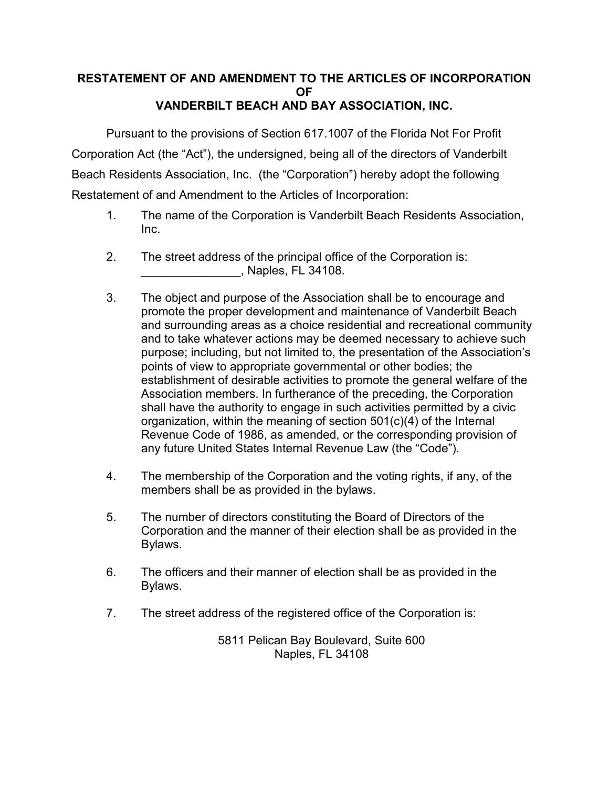## **RESTATEMENT OF AND AMENDMENT TO THE ARTICLES OF INCORPORATION OF VANDERBILT BEACH AND BAY ASSOCIATION, INC.**

Pursuant to the provisions of Section 617.1007 of the Florida Not For Profit Corporation Act (the "Act"), the undersigned, being all of the directors of Vanderbilt Beach Residents Association, Inc. (the "Corporation") hereby adopt the following Restatement of and Amendment to the Articles of Incorporation:

- 1. The name of the Corporation is Vanderbilt Beach Residents Association, Inc.
- 2. The street address of the principal office of the Corporation is: \_\_\_\_\_\_\_\_\_\_\_\_\_\_\_, Naples, FL 34108.
- 3. The object and purpose of the Association shall be to encourage and promote the proper development and maintenance of Vanderbilt Beach and surrounding areas as a choice residential and recreational community and to take whatever actions may be deemed necessary to achieve such purpose; including, but not limited to, the presentation of the Association's points of view to appropriate governmental or other bodies; the establishment of desirable activities to promote the general welfare of the Association members. In furtherance of the preceding, the Corporation shall have the authority to engage in such activities permitted by a civic organization, within the meaning of section 501(c)(4) of the Internal Revenue Code of 1986, as amended, or the corresponding provision of any future United States Internal Revenue Law (the "Code").
- 4. The membership of the Corporation and the voting rights, if any, of the members shall be as provided in the bylaws.
- 5. The number of directors constituting the Board of Directors of the Corporation and the manner of their election shall be as provided in the Bylaws.
- 6. The officers and their manner of election shall be as provided in the Bylaws.
- 7. The street address of the registered office of the Corporation is:

5811 Pelican Bay Boulevard, Suite 600 Naples, FL 34108